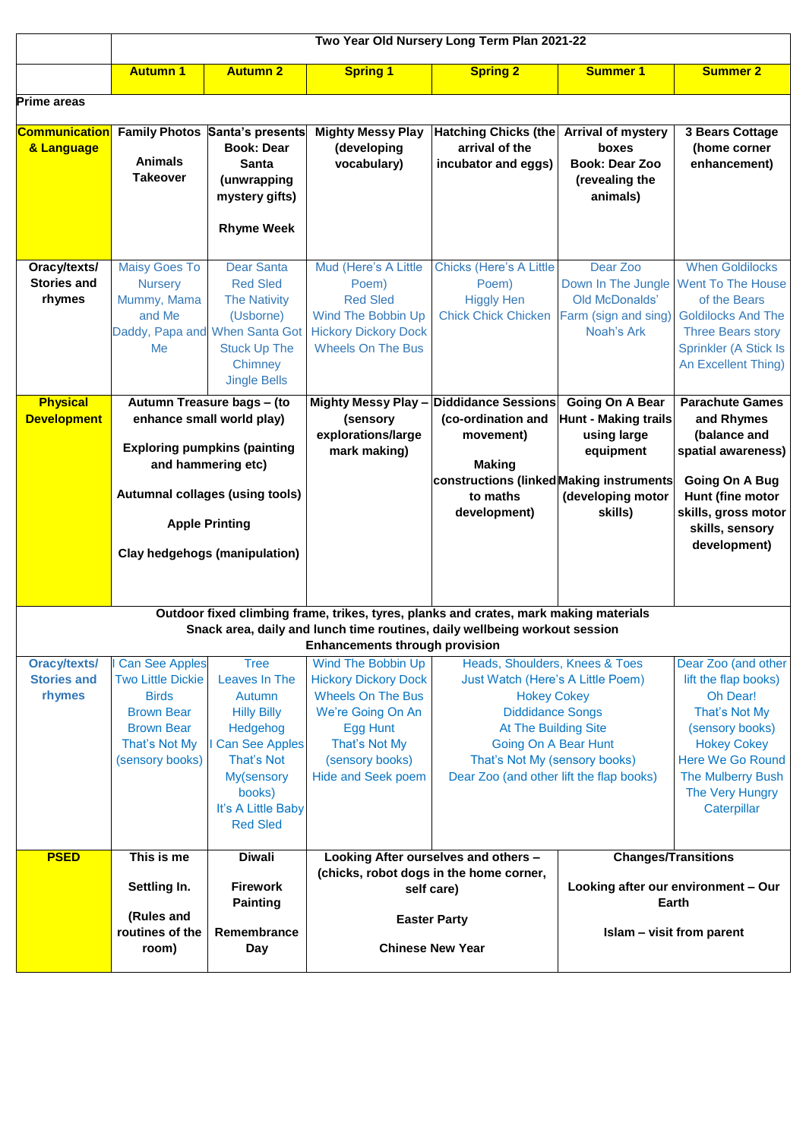|                                                                                                                                                                     | Two Year Old Nursery Long Term Plan 2021-22                                                                                                                                                                              |                                                                                                                                                                             |                                                                                                                                                                                        |                                                                                                                                                                                                                                                   |                                                                                                                   |                                                                                                                                                                                              |  |
|---------------------------------------------------------------------------------------------------------------------------------------------------------------------|--------------------------------------------------------------------------------------------------------------------------------------------------------------------------------------------------------------------------|-----------------------------------------------------------------------------------------------------------------------------------------------------------------------------|----------------------------------------------------------------------------------------------------------------------------------------------------------------------------------------|---------------------------------------------------------------------------------------------------------------------------------------------------------------------------------------------------------------------------------------------------|-------------------------------------------------------------------------------------------------------------------|----------------------------------------------------------------------------------------------------------------------------------------------------------------------------------------------|--|
|                                                                                                                                                                     | <b>Autumn 1</b>                                                                                                                                                                                                          | <b>Autumn 2</b>                                                                                                                                                             | <b>Spring 1</b>                                                                                                                                                                        | <b>Spring 2</b>                                                                                                                                                                                                                                   | <b>Summer 1</b>                                                                                                   | <b>Summer 2</b>                                                                                                                                                                              |  |
| <b>Prime areas</b>                                                                                                                                                  |                                                                                                                                                                                                                          |                                                                                                                                                                             |                                                                                                                                                                                        |                                                                                                                                                                                                                                                   |                                                                                                                   |                                                                                                                                                                                              |  |
| <b>Communication</b><br>& Language                                                                                                                                  | <b>Family Photos</b><br><b>Animals</b><br><b>Takeover</b>                                                                                                                                                                | Santa's presents<br><b>Book: Dear</b><br>Santa<br>(unwrapping<br>mystery gifts)<br><b>Rhyme Week</b>                                                                        | <b>Mighty Messy Play</b><br>(developing<br>vocabulary)                                                                                                                                 | <b>Hatching Chicks (the</b><br>arrival of the<br>incubator and eggs)                                                                                                                                                                              | <b>Arrival of mystery</b><br>boxes<br><b>Book: Dear Zoo</b><br>(revealing the<br>animals)                         | 3 Bears Cottage<br>(home corner<br>enhancement)                                                                                                                                              |  |
| Oracy/texts/<br><b>Stories and</b><br>rhymes                                                                                                                        | <b>Maisy Goes To</b><br><b>Nursery</b><br>Mummy, Mama<br>and Me<br>Me                                                                                                                                                    | <b>Dear Santa</b><br><b>Red Sled</b><br><b>The Nativity</b><br>(Usborne)<br>Daddy, Papa and When Santa Got<br><b>Stuck Up The</b><br>Chimney<br><b>Jingle Bells</b>         | Mud (Here's A Little<br>Poem)<br><b>Red Sled</b><br>Wind The Bobbin Up<br><b>Hickory Dickory Dock</b><br><b>Wheels On The Bus</b>                                                      | <b>Chicks (Here's A Little</b><br>Poem)<br><b>Higgly Hen</b><br><b>Chick Chick Chicken</b>                                                                                                                                                        | Dear Zoo<br>Down In The Jungle<br>Old McDonalds'<br>Farm (sign and sing)<br>Noah's Ark                            | <b>When Goldilocks</b><br>Went To The House<br>of the Bears<br><b>Goldilocks And The</b><br><b>Three Bears story</b><br>Sprinkler (A Stick Is<br>An Excellent Thing)                         |  |
| <b>Physical</b><br><b>Development</b>                                                                                                                               | Autumn Treasure bags - (to<br>enhance small world play)<br><b>Exploring pumpkins (painting</b><br>and hammering etc)<br>Autumnal collages (using tools)<br><b>Apple Printing</b><br><b>Clay hedgehogs (manipulation)</b> |                                                                                                                                                                             | <b>Mighty Messy Play-</b><br>(sensory<br>explorations/large<br>mark making)                                                                                                            | <b>Diddidance Sessions</b><br>(co-ordination and<br>movement)<br><b>Making</b><br>constructions (linked Making instruments<br>to maths<br>development)                                                                                            | <b>Going On A Bear</b><br><b>Hunt - Making trails</b><br>using large<br>equipment<br>(developing motor<br>skills) | <b>Parachute Games</b><br>and Rhymes<br>(balance and<br>spatial awareness)<br>Going On A Bug<br>Hunt (fine motor<br>skills, gross motor<br>skills, sensory<br>development)                   |  |
| Outdoor fixed climbing frame, trikes, tyres, planks and crates, mark making materials<br>Snack area, daily and lunch time routines, daily wellbeing workout session |                                                                                                                                                                                                                          |                                                                                                                                                                             |                                                                                                                                                                                        |                                                                                                                                                                                                                                                   |                                                                                                                   |                                                                                                                                                                                              |  |
|                                                                                                                                                                     |                                                                                                                                                                                                                          |                                                                                                                                                                             | <b>Enhancements through provision</b>                                                                                                                                                  |                                                                                                                                                                                                                                                   |                                                                                                                   |                                                                                                                                                                                              |  |
| <b>Oracy/texts/</b><br><b>Stories and</b><br>rhymes                                                                                                                 | <b>Can See Apples</b><br><b>Two Little Dickie</b><br><b>Birds</b><br><b>Brown Bear</b><br><b>Brown Bear</b><br>That's Not My<br>(sensory books)                                                                          | <b>Tree</b><br>Leaves In The<br>Autumn<br><b>Hilly Billy</b><br>Hedgehog<br>I Can See Apples<br>That's Not<br>My(sensory<br>books)<br>It's A Little Baby<br><b>Red Sled</b> | Wind The Bobbin Up<br><b>Hickory Dickory Dock</b><br><b>Wheels On The Bus</b><br>We're Going On An<br><b>Egg Hunt</b><br>That's Not My<br>(sensory books)<br><b>Hide and Seek poem</b> | Heads, Shoulders, Knees & Toes<br>Just Watch (Here's A Little Poem)<br><b>Hokey Cokey</b><br><b>Diddidance Songs</b><br>At The Building Site<br>Going On A Bear Hunt<br>That's Not My (sensory books)<br>Dear Zoo (and other lift the flap books) |                                                                                                                   | Dear Zoo (and other<br>lift the flap books)<br>Oh Dear!<br>That's Not My<br>(sensory books)<br><b>Hokey Cokey</b><br>Here We Go Round<br>The Mulberry Bush<br>The Very Hungry<br>Caterpillar |  |
| <b>PSED</b>                                                                                                                                                         | This is me                                                                                                                                                                                                               | <b>Diwali</b>                                                                                                                                                               | Looking After ourselves and others -                                                                                                                                                   |                                                                                                                                                                                                                                                   | <b>Changes/Transitions</b>                                                                                        |                                                                                                                                                                                              |  |
|                                                                                                                                                                     | Settling In.<br>(Rules and<br>routines of the<br>room)                                                                                                                                                                   | <b>Firework</b><br><b>Painting</b><br>Remembrance<br>Day                                                                                                                    | (chicks, robot dogs in the home corner,<br>self care)<br><b>Easter Party</b><br><b>Chinese New Year</b>                                                                                |                                                                                                                                                                                                                                                   | Looking after our environment - Our<br>Earth<br>Islam - visit from parent                                         |                                                                                                                                                                                              |  |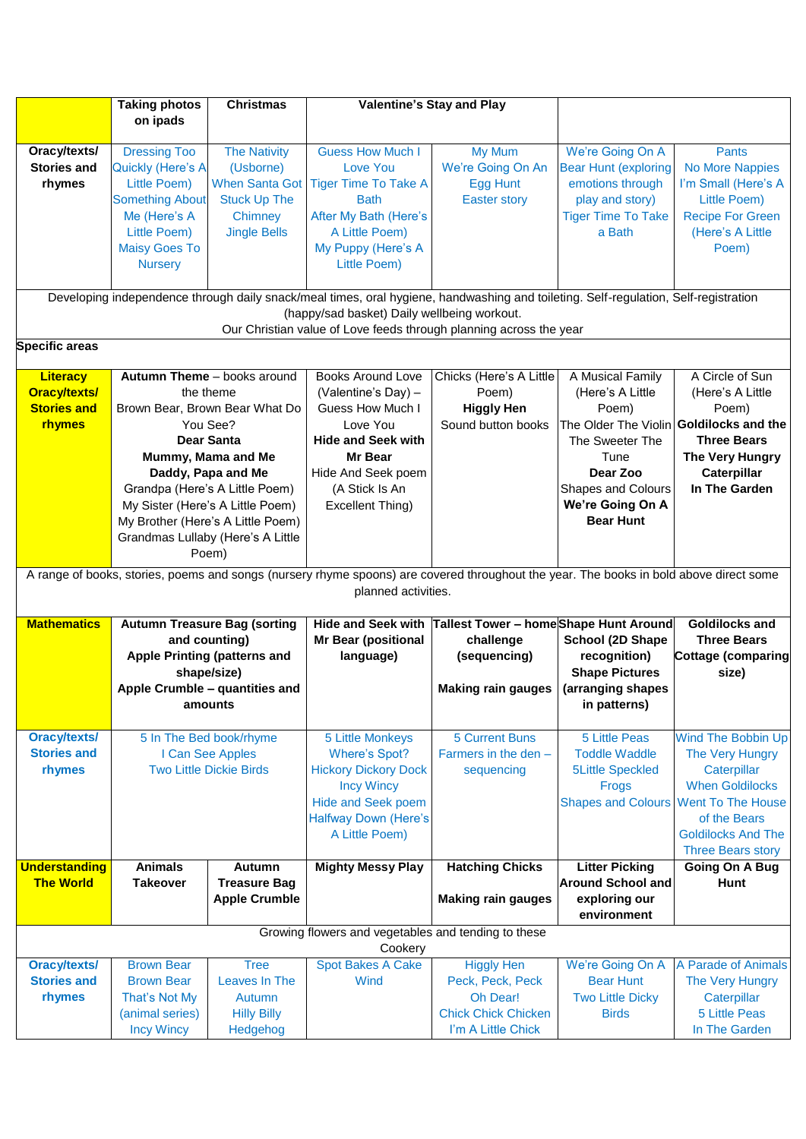|                       | <b>Taking photos</b>                                                                                                                                                               | <b>Christmas</b>                  |                                                                                                                                        | Valentine's Stay and Play              |                                         |                           |  |  |  |
|-----------------------|------------------------------------------------------------------------------------------------------------------------------------------------------------------------------------|-----------------------------------|----------------------------------------------------------------------------------------------------------------------------------------|----------------------------------------|-----------------------------------------|---------------------------|--|--|--|
|                       | on ipads                                                                                                                                                                           |                                   |                                                                                                                                        |                                        |                                         |                           |  |  |  |
|                       |                                                                                                                                                                                    |                                   |                                                                                                                                        |                                        |                                         |                           |  |  |  |
| Oracy/texts/          | <b>Dressing Too</b>                                                                                                                                                                | <b>The Nativity</b>               | <b>Guess How Much I</b>                                                                                                                | My Mum                                 | We're Going On A                        | <b>Pants</b>              |  |  |  |
| <b>Stories and</b>    | <b>Quickly (Here's A</b>                                                                                                                                                           | (Usborne)                         | Love You                                                                                                                               | We're Going On An                      | <b>Bear Hunt (exploring</b>             | <b>No More Nappies</b>    |  |  |  |
| rhymes                | Little Poem)                                                                                                                                                                       | <b>When Santa Got</b>             | <b>Tiger Time To Take A</b>                                                                                                            | Egg Hunt                               | emotions through                        | I'm Small (Here's A       |  |  |  |
|                       | <b>Something About</b>                                                                                                                                                             | <b>Stuck Up The</b>               | <b>Bath</b>                                                                                                                            | <b>Easter story</b>                    | play and story)                         | Little Poem)              |  |  |  |
|                       | Me (Here's A                                                                                                                                                                       | Chimney                           | After My Bath (Here's                                                                                                                  |                                        | <b>Tiger Time To Take</b>               | <b>Recipe For Green</b>   |  |  |  |
|                       | Little Poem)                                                                                                                                                                       | <b>Jingle Bells</b>               | A Little Poem)                                                                                                                         |                                        | a Bath                                  | (Here's A Little          |  |  |  |
|                       | <b>Maisy Goes To</b>                                                                                                                                                               |                                   | My Puppy (Here's A                                                                                                                     |                                        |                                         | Poem)                     |  |  |  |
|                       |                                                                                                                                                                                    |                                   |                                                                                                                                        |                                        |                                         |                           |  |  |  |
|                       | <b>Nursery</b>                                                                                                                                                                     |                                   | Little Poem)                                                                                                                           |                                        |                                         |                           |  |  |  |
|                       |                                                                                                                                                                                    |                                   |                                                                                                                                        |                                        |                                         |                           |  |  |  |
|                       | Developing independence through daily snack/meal times, oral hygiene, handwashing and toileting. Self-regulation, Self-registration<br>(happy/sad basket) Daily wellbeing workout. |                                   |                                                                                                                                        |                                        |                                         |                           |  |  |  |
|                       |                                                                                                                                                                                    |                                   | Our Christian value of Love feeds through planning across the year                                                                     |                                        |                                         |                           |  |  |  |
| <b>Specific areas</b> |                                                                                                                                                                                    |                                   |                                                                                                                                        |                                        |                                         |                           |  |  |  |
|                       |                                                                                                                                                                                    |                                   |                                                                                                                                        |                                        |                                         |                           |  |  |  |
| <b>Literacy</b>       |                                                                                                                                                                                    | Autumn Theme - books around       | <b>Books Around Love</b>                                                                                                               | Chicks (Here's A Little                | A Musical Family                        | A Circle of Sun           |  |  |  |
| <b>Oracy/texts/</b>   |                                                                                                                                                                                    | the theme                         | (Valentine's Day) -                                                                                                                    | Poem)                                  | (Here's A Little                        | (Here's A Little          |  |  |  |
| <b>Stories and</b>    |                                                                                                                                                                                    | Brown Bear, Brown Bear What Do    | Guess How Much I                                                                                                                       | <b>Higgly Hen</b>                      | Poem)                                   | Poem)                     |  |  |  |
| rhymes                |                                                                                                                                                                                    | You See?                          | Love You                                                                                                                               | Sound button books                     | The Older The Violin Goldilocks and the |                           |  |  |  |
|                       |                                                                                                                                                                                    | <b>Dear Santa</b>                 | <b>Hide and Seek with</b>                                                                                                              |                                        | The Sweeter The                         | <b>Three Bears</b>        |  |  |  |
|                       |                                                                                                                                                                                    | Mummy, Mama and Me                | Mr Bear                                                                                                                                |                                        | Tune                                    | The Very Hungry           |  |  |  |
|                       |                                                                                                                                                                                    | Daddy, Papa and Me                | Hide And Seek poem                                                                                                                     |                                        | Dear Zoo                                | Caterpillar               |  |  |  |
|                       |                                                                                                                                                                                    | Grandpa (Here's A Little Poem)    | (A Stick Is An                                                                                                                         |                                        | <b>Shapes and Colours</b>               | In The Garden             |  |  |  |
|                       |                                                                                                                                                                                    | My Sister (Here's A Little Poem)  | Excellent Thing)                                                                                                                       |                                        | We're Going On A                        |                           |  |  |  |
|                       |                                                                                                                                                                                    |                                   |                                                                                                                                        |                                        | <b>Bear Hunt</b>                        |                           |  |  |  |
|                       |                                                                                                                                                                                    | My Brother (Here's A Little Poem) |                                                                                                                                        |                                        |                                         |                           |  |  |  |
|                       |                                                                                                                                                                                    | Grandmas Lullaby (Here's A Little |                                                                                                                                        |                                        |                                         |                           |  |  |  |
|                       |                                                                                                                                                                                    | Poem)                             |                                                                                                                                        |                                        |                                         |                           |  |  |  |
|                       |                                                                                                                                                                                    |                                   | A range of books, stories, poems and songs (nursery rhyme spoons) are covered throughout the year. The books in bold above direct some |                                        |                                         |                           |  |  |  |
|                       |                                                                                                                                                                                    |                                   | planned activities.                                                                                                                    |                                        |                                         |                           |  |  |  |
|                       |                                                                                                                                                                                    |                                   |                                                                                                                                        |                                        |                                         |                           |  |  |  |
| <b>Mathematics</b>    | <b>Autumn Treasure Bag (sorting</b>                                                                                                                                                |                                   | <b>Hide and Seek with</b>                                                                                                              | Tallest Tower - home Shape Hunt Around |                                         | <b>Goldilocks and</b>     |  |  |  |
|                       |                                                                                                                                                                                    | and counting)                     | <b>Mr Bear (positional</b>                                                                                                             | challenge                              | School (2D Shape                        | <b>Three Bears</b>        |  |  |  |
|                       | <b>Apple Printing (patterns and</b>                                                                                                                                                |                                   | language)                                                                                                                              | (sequencing)                           | recognition)                            | <b>Cottage (comparing</b> |  |  |  |
|                       |                                                                                                                                                                                    | shape/size)                       |                                                                                                                                        |                                        | <b>Shape Pictures</b>                   | size)                     |  |  |  |
|                       |                                                                                                                                                                                    | Apple Crumble - quantities and    |                                                                                                                                        | <b>Making rain gauges</b>              | (arranging shapes                       |                           |  |  |  |
|                       | amounts                                                                                                                                                                            |                                   |                                                                                                                                        |                                        | in patterns)                            |                           |  |  |  |
|                       |                                                                                                                                                                                    |                                   |                                                                                                                                        |                                        |                                         |                           |  |  |  |
| <b>Oracy/texts/</b>   |                                                                                                                                                                                    | 5 In The Bed book/rhyme           | 5 Little Monkeys                                                                                                                       | <b>5 Current Buns</b>                  | <b>5 Little Peas</b>                    | Wind The Bobbin Up        |  |  |  |
| <b>Stories and</b>    |                                                                                                                                                                                    | I Can See Apples                  | <b>Where's Spot?</b>                                                                                                                   | Farmers in the den -                   | <b>Toddle Waddle</b>                    | The Very Hungry           |  |  |  |
| rhymes                |                                                                                                                                                                                    | <b>Two Little Dickie Birds</b>    | <b>Hickory Dickory Dock</b>                                                                                                            | sequencing                             | <b>5Little Speckled</b>                 | Caterpillar               |  |  |  |
|                       |                                                                                                                                                                                    |                                   | <b>Incy Wincy</b>                                                                                                                      |                                        | Frogs                                   | <b>When Goldilocks</b>    |  |  |  |
|                       |                                                                                                                                                                                    |                                   | <b>Hide and Seek poem</b>                                                                                                              |                                        | <b>Shapes and Colours</b>               | <b>Went To The House</b>  |  |  |  |
|                       |                                                                                                                                                                                    |                                   | <b>Halfway Down (Here's</b>                                                                                                            |                                        |                                         | of the Bears              |  |  |  |
|                       |                                                                                                                                                                                    |                                   | A Little Poem)                                                                                                                         |                                        |                                         | <b>Goldilocks And The</b> |  |  |  |
|                       |                                                                                                                                                                                    |                                   |                                                                                                                                        |                                        |                                         | <b>Three Bears story</b>  |  |  |  |
| <b>Understanding</b>  | <b>Animals</b>                                                                                                                                                                     | Autumn                            | <b>Mighty Messy Play</b>                                                                                                               | <b>Hatching Chicks</b>                 | <b>Litter Picking</b>                   | Going On A Bug            |  |  |  |
| <b>The World</b>      | Takeover                                                                                                                                                                           | <b>Treasure Bag</b>               |                                                                                                                                        |                                        | <b>Around School and</b>                | <b>Hunt</b>               |  |  |  |
|                       |                                                                                                                                                                                    | <b>Apple Crumble</b>              |                                                                                                                                        | <b>Making rain gauges</b>              | exploring our                           |                           |  |  |  |
|                       |                                                                                                                                                                                    |                                   |                                                                                                                                        |                                        | environment                             |                           |  |  |  |
|                       | Growing flowers and vegetables and tending to these                                                                                                                                |                                   |                                                                                                                                        |                                        |                                         |                           |  |  |  |
| Cookery               |                                                                                                                                                                                    |                                   |                                                                                                                                        |                                        |                                         |                           |  |  |  |
| <b>Oracy/texts/</b>   | <b>Brown Bear</b>                                                                                                                                                                  | <b>Tree</b>                       | <b>Spot Bakes A Cake</b>                                                                                                               | <b>Higgly Hen</b>                      | We're Going On A                        | A Parade of Animals       |  |  |  |
| <b>Stories and</b>    | <b>Brown Bear</b>                                                                                                                                                                  | Leaves In The                     | Wind                                                                                                                                   | Peck, Peck, Peck                       | <b>Bear Hunt</b>                        | The Very Hungry           |  |  |  |
| rhymes                | That's Not My                                                                                                                                                                      | Autumn                            |                                                                                                                                        | Oh Dear!                               | <b>Two Little Dicky</b>                 | Caterpillar               |  |  |  |
|                       | (animal series)                                                                                                                                                                    | <b>Hilly Billy</b>                |                                                                                                                                        | <b>Chick Chick Chicken</b>             | <b>Birds</b>                            | <b>5 Little Peas</b>      |  |  |  |
|                       | <b>Incy Wincy</b>                                                                                                                                                                  | Hedgehog                          |                                                                                                                                        | I'm A Little Chick                     |                                         | In The Garden             |  |  |  |
|                       |                                                                                                                                                                                    |                                   |                                                                                                                                        |                                        |                                         |                           |  |  |  |